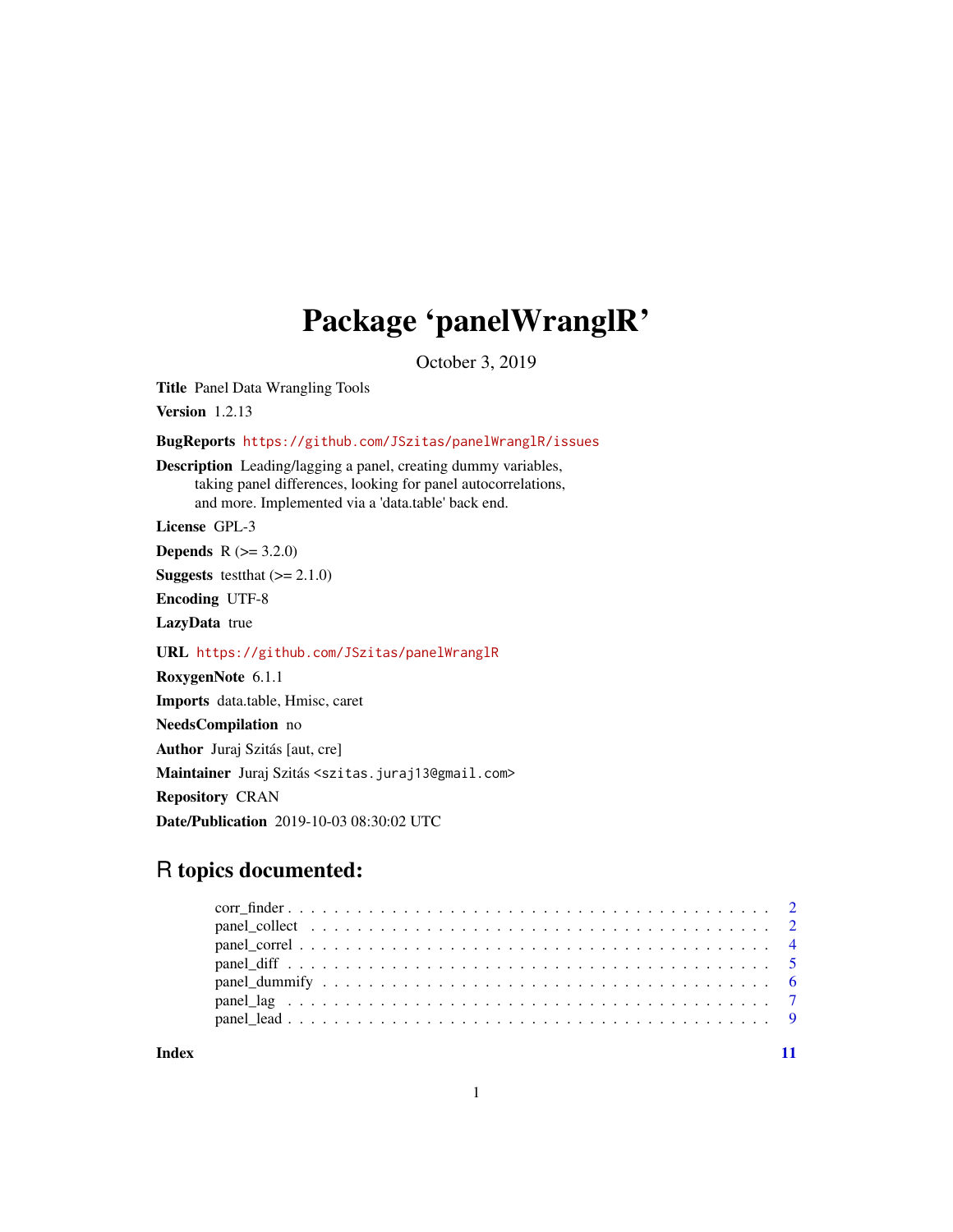# Package 'panelWranglR'

October 3, 2019

Title Panel Data Wrangling Tools

Version 1.2.13

BugReports <https://github.com/JSzitas/panelWranglR/issues>

Description Leading/lagging a panel, creating dummy variables, taking panel differences, looking for panel autocorrelations, and more. Implemented via a 'data.table' back end.

License GPL-3

**Depends** R  $(>= 3.2.0)$ 

**Suggests** test that  $(>= 2.1.0)$ 

Encoding UTF-8

LazyData true

URL <https://github.com/JSzitas/panelWranglR>

RoxygenNote 6.1.1

Imports data.table, Hmisc, caret

NeedsCompilation no

Author Juraj Szitás [aut, cre]

Maintainer Juraj Szitás <szitas.juraj13@gmail.com>

Repository CRAN

Date/Publication 2019-10-03 08:30:02 UTC

# R topics documented:

**Index** [11](#page-10-0)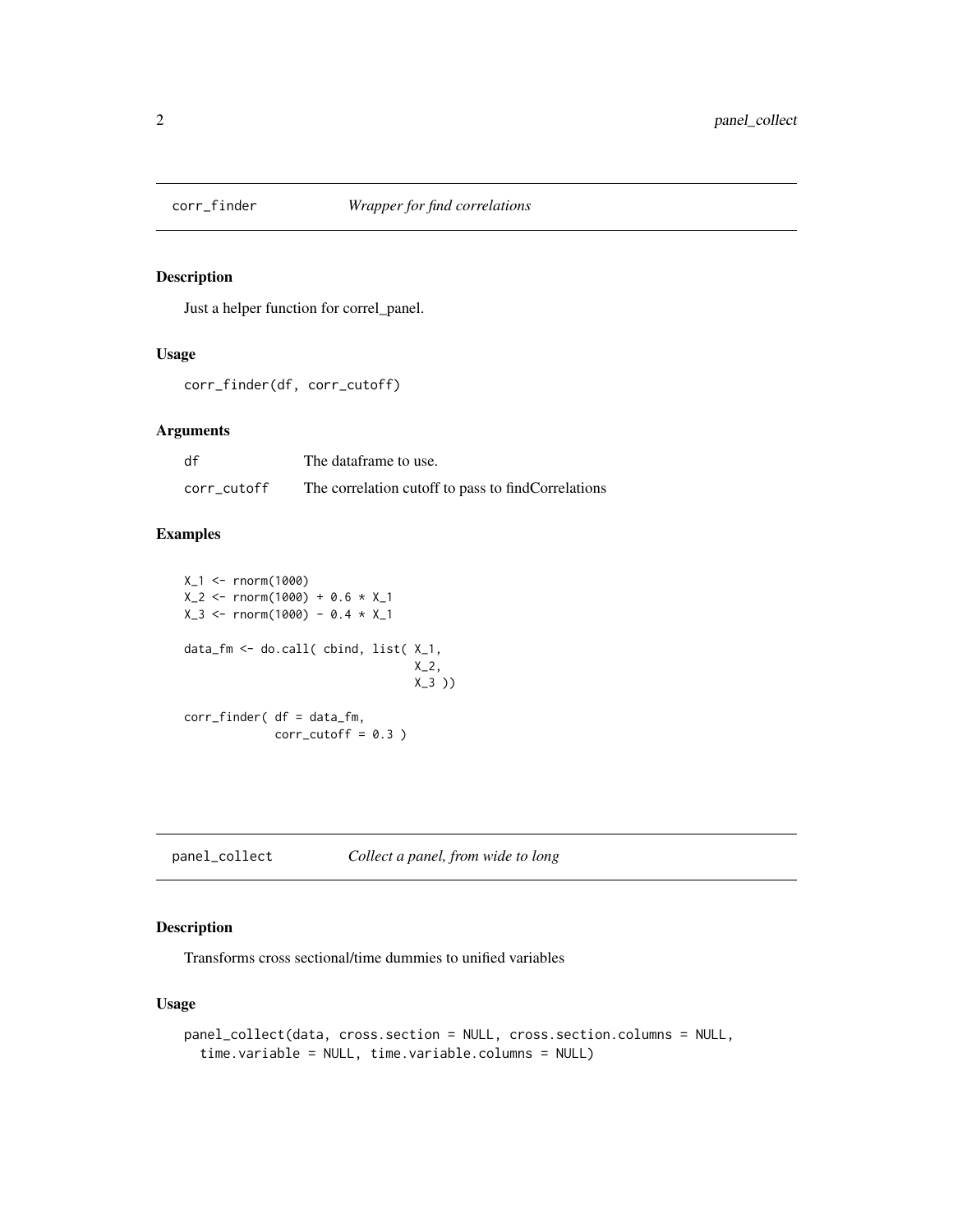<span id="page-1-0"></span>

#### Description

Just a helper function for correl\_panel.

## Usage

```
corr_finder(df, corr_cutoff)
```
#### Arguments

| df          | The dataframe to use.                              |
|-------------|----------------------------------------------------|
| corr_cutoff | The correlation cutoff to pass to findCorrelations |

#### Examples

```
X_1 <- rnorm(1000)
X_2 < - rnorm(1000) + 0.6 * X_1X_3 <- rnorm(1000) - 0.4 * X_1data_fm <- do.call( cbind, list( X_1,
                                 X_2,
                                 X_3 ))
corr_finder( df = data_fm,
             corr_cutoff = 0.3)
```
panel\_collect *Collect a panel, from wide to long*

# Description

Transforms cross sectional/time dummies to unified variables

# Usage

```
panel_collect(data, cross.section = NULL, cross.section.columns = NULL,
  time.variable = NULL, time.variable.columns = NULL)
```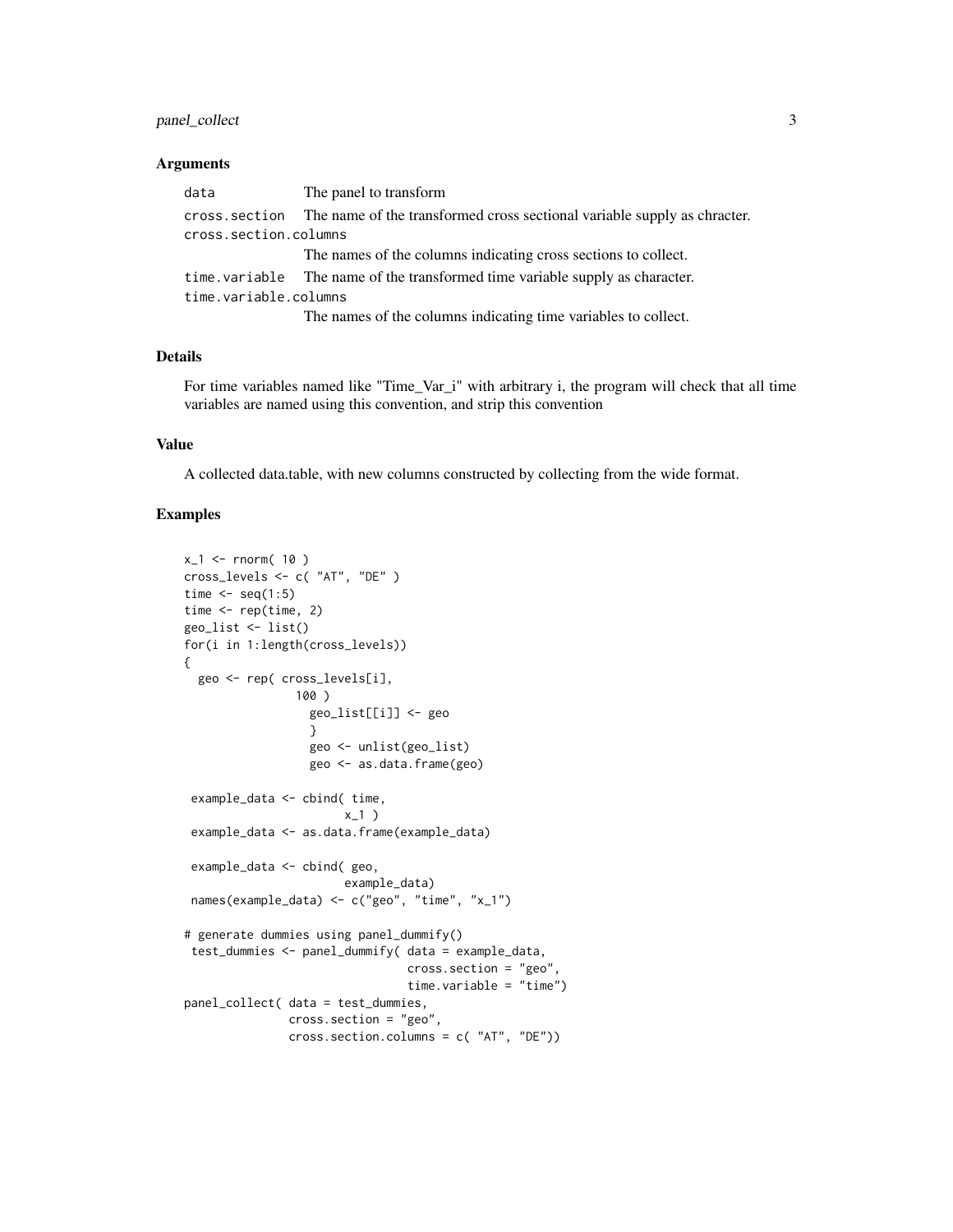# panel\_collect 3

#### Arguments

| data                  | The panel to transform                                                                  |
|-----------------------|-----------------------------------------------------------------------------------------|
|                       | cross, section The name of the transformed cross sectional variable supply as chracter. |
| cross.section.columns |                                                                                         |
|                       | The names of the columns indicating cross sections to collect.                          |
|                       | time. variable The name of the transformed time variable supply as character.           |
| time.variable.columns |                                                                                         |
|                       | The names of the columns indicating time remables to collect                            |

The names of the columns indicating time variables to collect.

#### Details

For time variables named like "Time\_Var\_i" with arbitrary i, the program will check that all time variables are named using this convention, and strip this convention

# Value

A collected data.table, with new columns constructed by collecting from the wide format.

# Examples

```
x_1 < - rnorm( 10)
cross_levels <- c( "AT", "DE" )
time \leq seq(1:5)
time <- rep(time, 2)
geo_list <- list()
for(i in 1:length(cross_levels))
{
  geo <- rep( cross_levels[i],
                100 )
                  geo_list[[i]] <- geo
                  }
                  geo <- unlist(geo_list)
                  geo <- as.data.frame(geo)
 example_data <- cbind( time,
                       x_1)
 example_data <- as.data.frame(example_data)
 example_data <- cbind( geo,
                       example_data)
 names(example_data) <- c("geo", "time", "x_1")
# generate dummies using panel_dummify()
 test_dummies <- panel_dummify( data = example_data,
                                cross.section = "geo",
                                time.variable = "time")
panel_collect( data = test_dummies,
               cross.section = "geo",
               cross.section.columns = c( "AT", "DE"))
```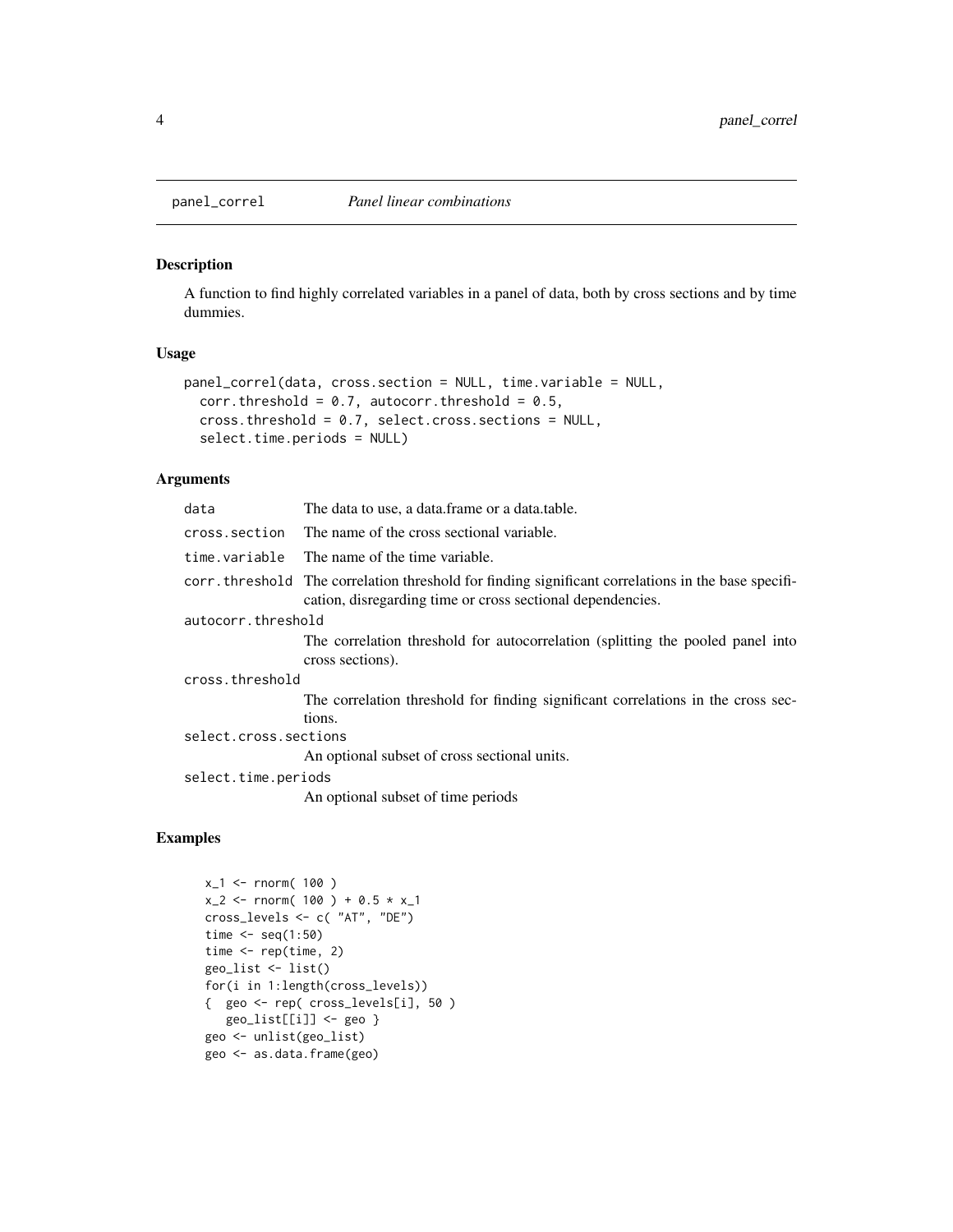<span id="page-3-0"></span>

# Description

A function to find highly correlated variables in a panel of data, both by cross sections and by time dummies.

#### Usage

```
panel_correl(data, cross.section = NULL, time.variable = NULL,
 corr.threshold = 0.7, autocorr.threshold = 0.5,
 cross.threshold = 0.7, select.cross.sections = NULL,
 select.time.periods = NULL)
```
# Arguments

| data                  | The data to use, a data frame or a data table.                                                                                                                    |
|-----------------------|-------------------------------------------------------------------------------------------------------------------------------------------------------------------|
| cross.section         | The name of the cross sectional variable.                                                                                                                         |
| time.variable         | The name of the time variable.                                                                                                                                    |
|                       | corr, threshold The correlation threshold for finding significant correlations in the base specifi-<br>cation, disregarding time or cross sectional dependencies. |
| autocorr.threshold    |                                                                                                                                                                   |
|                       | The correlation threshold for autocorrelation (splitting the pooled panel into<br>cross sections).                                                                |
| cross.threshold       |                                                                                                                                                                   |
|                       | The correlation threshold for finding significant correlations in the cross sec-                                                                                  |
|                       | tions.                                                                                                                                                            |
| select.cross.sections |                                                                                                                                                                   |
|                       | An optional subset of cross sectional units.                                                                                                                      |
| select.time.periods   |                                                                                                                                                                   |
|                       | An optional subset of time periods                                                                                                                                |

# Examples

```
x_1 < - rnorm( 100)
x_2 < - rnorm( 100 ) + 0.5 * x_1cross_levels <- c( "AT", "DE")
time \leq seq(1:50)
time \leq rep(time, 2)
geo_list <- list()
for(i in 1:length(cross_levels))
{ geo <- rep( cross_levels[i], 50 )
  geo_list[[i]] <- geo }
geo <- unlist(geo_list)
geo <- as.data.frame(geo)
```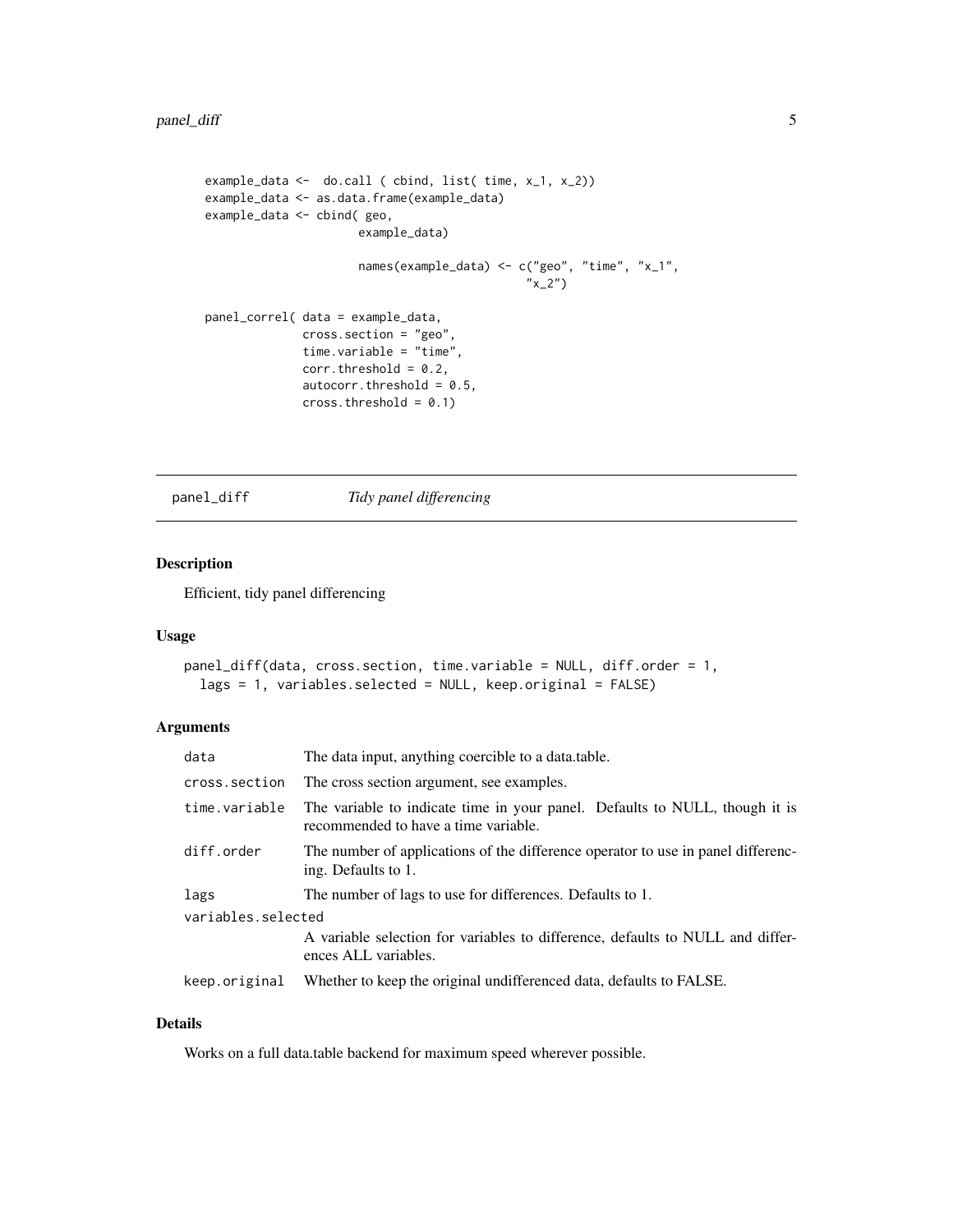```
example_data <- do.call ( cbind, list( time, x_1, x_2))
example_data <- as.data.frame(example_data)
example_data <- cbind( geo,
                      example_data)
                      names(example_data) <- c("geo", "time", "x_1",
                                               ''x_2'')panel_correl( data = example_data,
              cross.section = "geo",
              time.variable = "time",
              corr. threshold = 0.2,
              autocorr.threshold = 0.5,
              cross. threshold = 0.1)
```
panel\_diff *Tidy panel differencing*

# Description

Efficient, tidy panel differencing

#### Usage

```
panel_diff(data, cross.section, time.variable = NULL, diff.order = 1,
  lags = 1, variables.selected = NULL, keep.original = FALSE)
```
#### Arguments

| data               | The data input, anything coercible to a data table.                                                                 |
|--------------------|---------------------------------------------------------------------------------------------------------------------|
| cross.section      | The cross section argument, see examples.                                                                           |
| time.variable      | The variable to indicate time in your panel. Defaults to NULL, though it is<br>recommended to have a time variable. |
| diff.order         | The number of applications of the difference operator to use in panel differenc-<br>ing. Defaults to 1.             |
| lags               | The number of lags to use for differences. Defaults to 1.                                                           |
| variables.selected |                                                                                                                     |
|                    | A variable selection for variables to difference, defaults to NULL and differ-<br>ences ALL variables.              |
| keep.original      | Whether to keep the original undifferenced data, defaults to FALSE.                                                 |

# Details

Works on a full data.table backend for maximum speed wherever possible.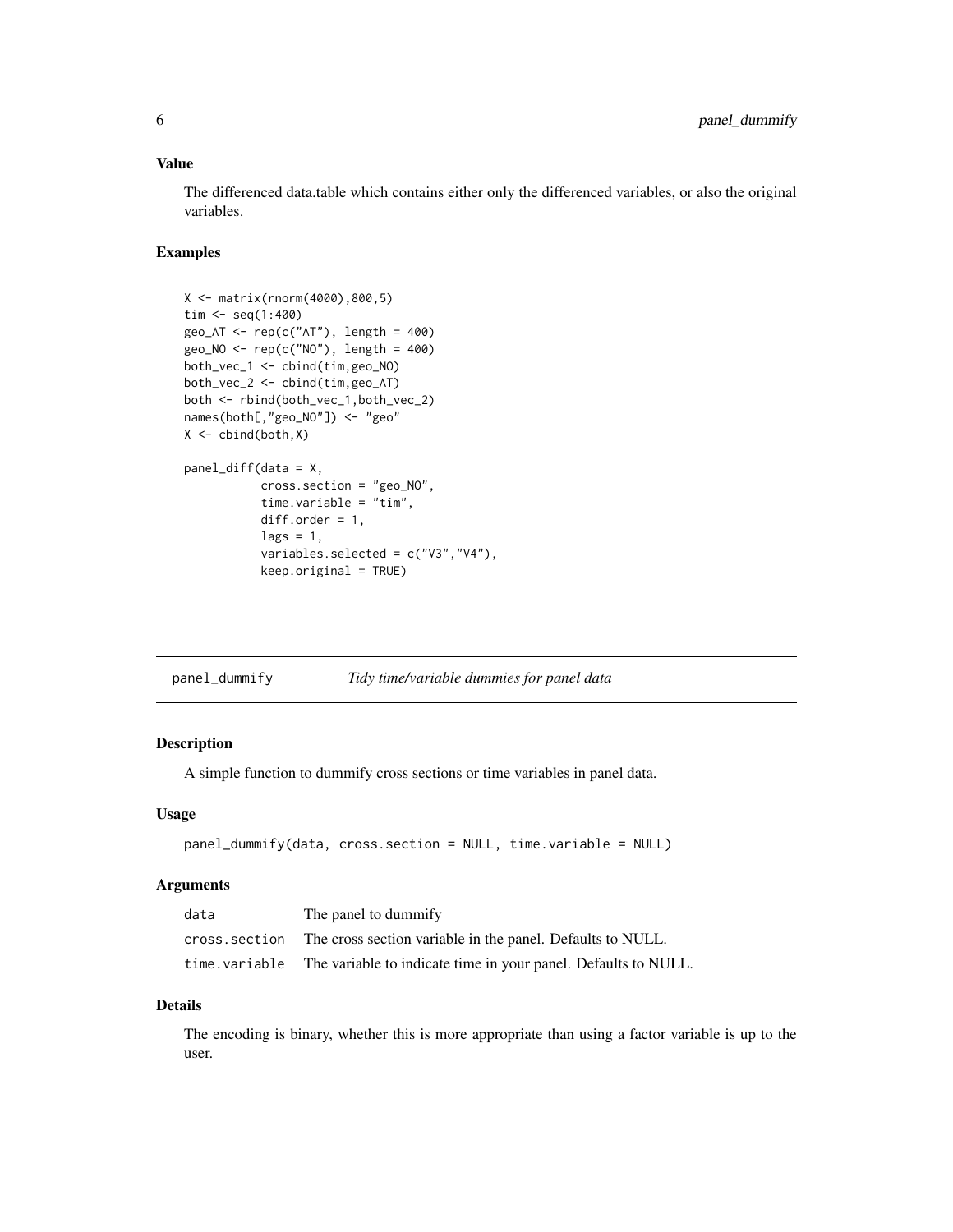#### <span id="page-5-0"></span>Value

The differenced data.table which contains either only the differenced variables, or also the original variables.

#### Examples

```
X <- matrix(rnorm(4000),800,5)
\text{tim} < - \text{seq}(1:400)geo_AT \leq -rep(c("AT"), length = 400)geo_NO <- rep(c("NO"), length = 400)
both_vec_1 <- cbind(tim,geo_NO)
both_vec_2 <- cbind(tim,geo_AT)
both <- rbind(both_vec_1,both_vec_2)
names(both[,"geo_NO"]) <- "geo"
X \leftarrow \text{cbind}(\text{both}, X)panel_diff(data = X,
            cross.section = "geo_NO",
            time.variable = "tim",
            diff.order = 1,
            lags = 1,variables.selected = c("V3","V4"),
            keep.original = TRUE)
```
# Description

A simple function to dummify cross sections or time variables in panel data.

#### Usage

```
panel_dummify(data, cross.section = NULL, time.variable = NULL)
```
#### Arguments

| data          | The panel to dummify                                           |
|---------------|----------------------------------------------------------------|
| cross.section | The cross section variable in the panel. Defaults to NULL.     |
| time.variable | The variable to indicate time in your panel. Defaults to NULL. |

#### Details

The encoding is binary, whether this is more appropriate than using a factor variable is up to the user.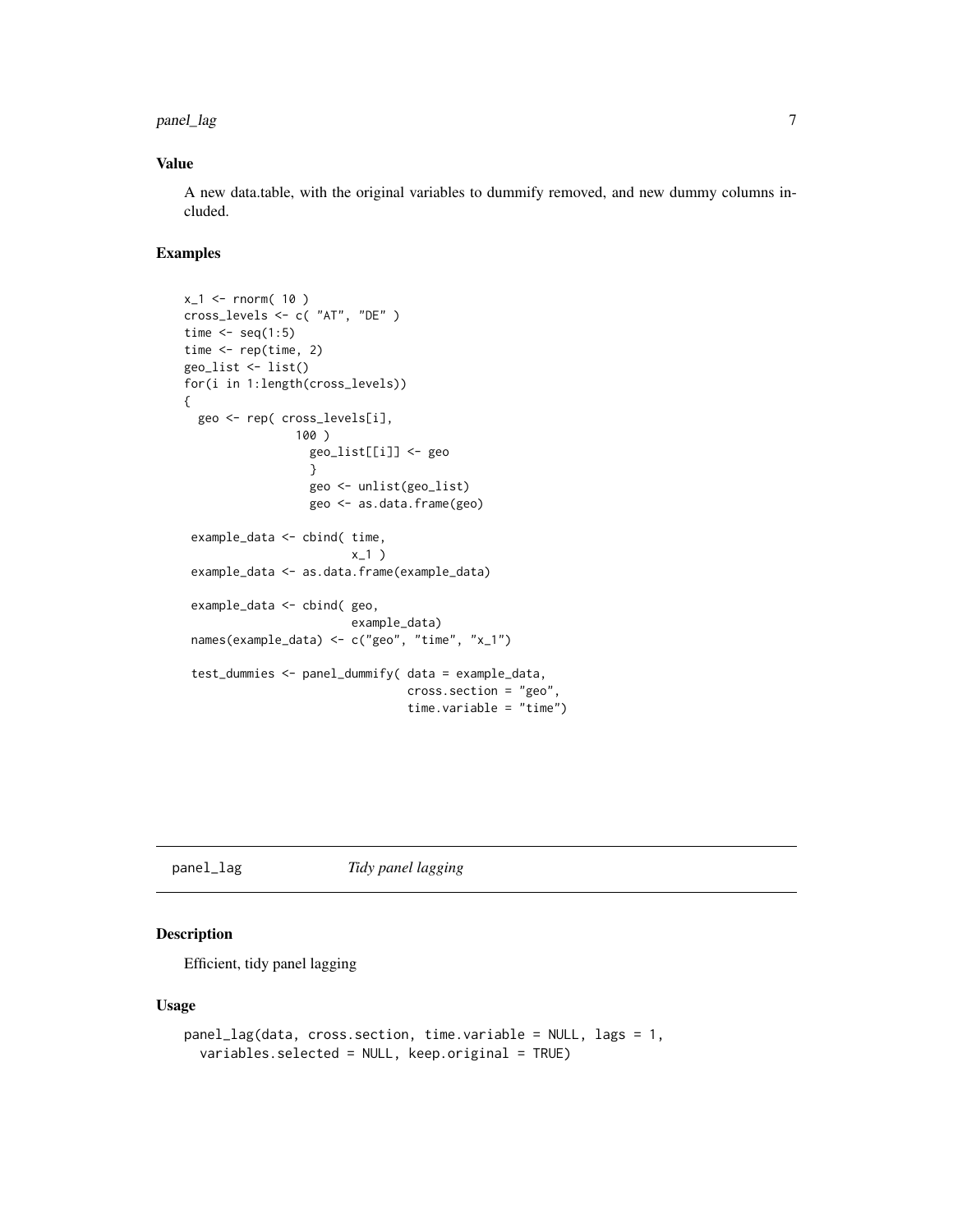<span id="page-6-0"></span>panel\_lag 7

#### Value

A new data.table, with the original variables to dummify removed, and new dummy columns included.

#### Examples

```
x_1 < - rnorm( 10)
cross_levels <- c( "AT", "DE" )
time \leq seq(1:5)
time <- rep(time, 2)
geo_list <- list()
for(i in 1:length(cross_levels))
{
  geo <- rep( cross_levels[i],
                100 )
                  geo_list[[i]] <- geo
                  }
                  geo <- unlist(geo_list)
                  geo <- as.data.frame(geo)
 example_data <- cbind( time,
                        x_1)
 example_data <- as.data.frame(example_data)
 example_data <- cbind( geo,
                        example_data)
 names(example_data) <- c("geo", "time", "x_1")
 test_dummies <- panel_dummify( data = example_data,
                                cross.section = "geo",
                                time.variable = "time")
```
panel\_lag *Tidy panel lagging*

# Description

Efficient, tidy panel lagging

#### Usage

```
panel_lag(data, cross.section, time.variable = NULL, lags = 1,
  variables.selected = NULL, keep.original = TRUE)
```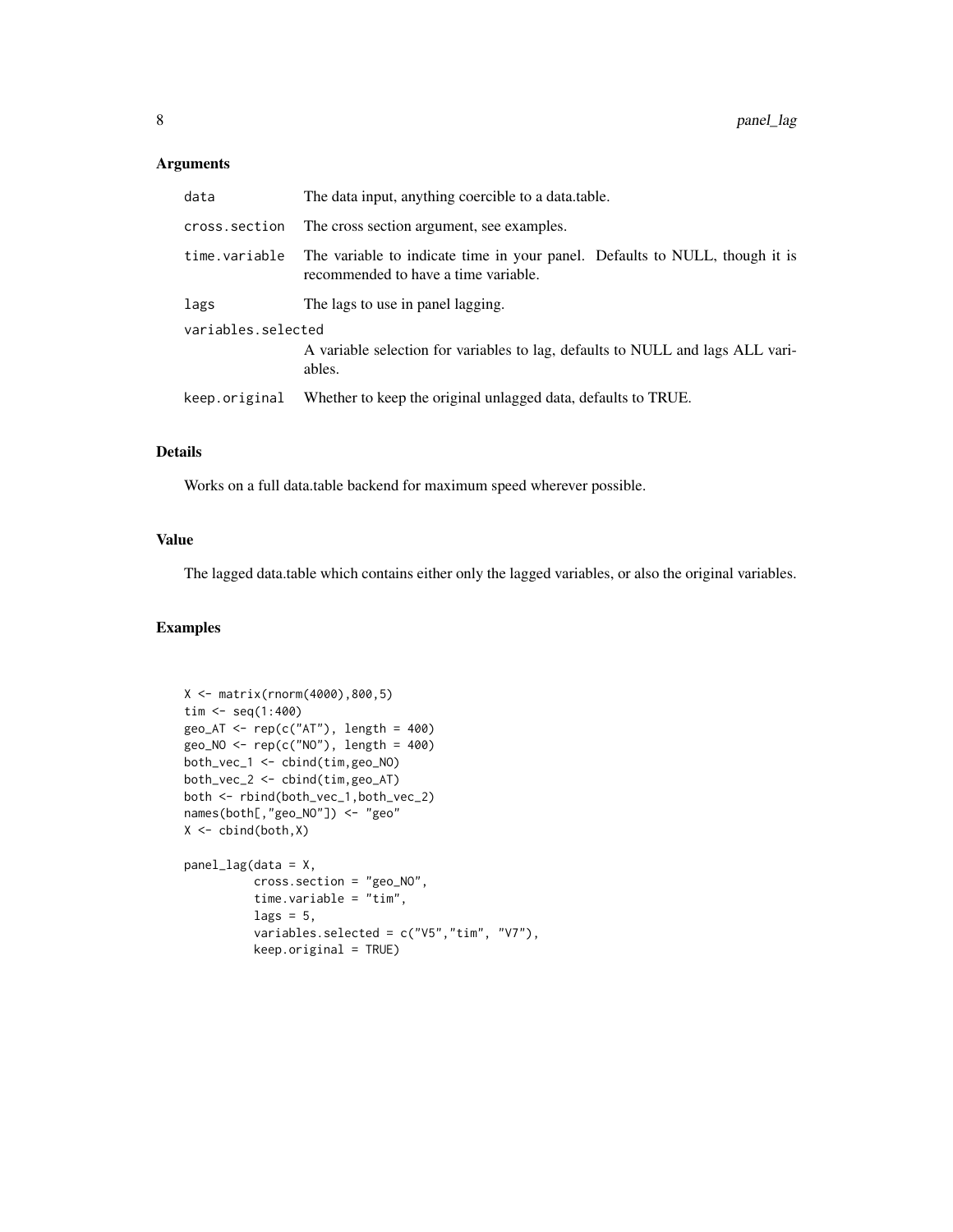# Arguments

| data               | The data input, anything coercible to a data.table.                                                                 |
|--------------------|---------------------------------------------------------------------------------------------------------------------|
| cross.section      | The cross section argument, see examples.                                                                           |
| time.variable      | The variable to indicate time in your panel. Defaults to NULL, though it is<br>recommended to have a time variable. |
| lags               | The lags to use in panel lagging.                                                                                   |
| variables.selected |                                                                                                                     |
|                    | A variable selection for variables to lag, defaults to NULL and lags ALL vari-<br>ables.                            |
| keep.original      | Whether to keep the original unlagged data, defaults to TRUE.                                                       |
|                    |                                                                                                                     |

## Details

Works on a full data.table backend for maximum speed wherever possible.

# Value

The lagged data.table which contains either only the lagged variables, or also the original variables.

# Examples

```
X <- matrix(rnorm(4000),800,5)
\text{tim} < - \text{seq}(1:400)geo_AT <- rep(c("AT"), length = 400)
geo_NO <- rep(c("NO"), length = 400)
both_vec_1 <- cbind(tim,geo_NO)
both_vec_2 <- cbind(tim,geo_AT)
both <- rbind(both_vec_1,both_vec_2)
names(both[,"geo_NO"]) <- "geo"
X \leftarrow \text{cbind}(\text{both}, X)panel_lag(data = X,
          cross.section = "geo_NO",
           time.variable = "tim",
          lags = 5,variables.selected = c("V5","tim", "V7"),
          keep.original = TRUE)
```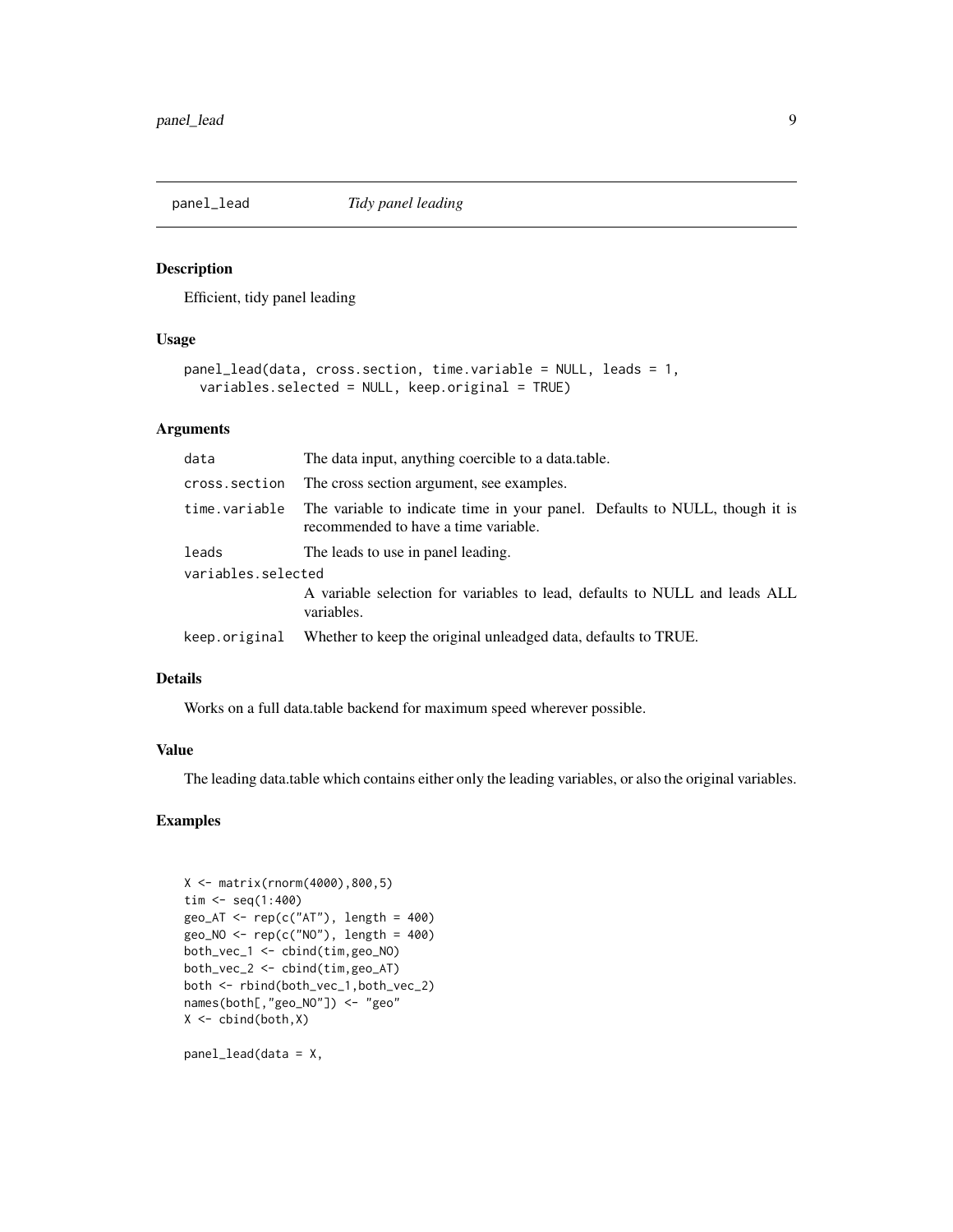<span id="page-8-0"></span>

#### Description

Efficient, tidy panel leading

#### Usage

```
panel_lead(data, cross.section, time.variable = NULL, leads = 1,
 variables.selected = NULL, keep.original = TRUE)
```
#### Arguments

| data               | The data input, anything coercible to a data.table.                                                                 |
|--------------------|---------------------------------------------------------------------------------------------------------------------|
| cross.section      | The cross section argument, see examples.                                                                           |
| time.variable      | The variable to indicate time in your panel. Defaults to NULL, though it is<br>recommended to have a time variable. |
| leads              | The leads to use in panel leading.                                                                                  |
| variables.selected |                                                                                                                     |
|                    | A variable selection for variables to lead, defaults to NULL and leads ALL<br>variables.                            |
| keep.original      | Whether to keep the original unleadged data, defaults to TRUE.                                                      |

#### Details

Works on a full data.table backend for maximum speed wherever possible.

#### Value

The leading data.table which contains either only the leading variables, or also the original variables.

# Examples

```
X <- matrix(rnorm(4000),800,5)
tim <- seq(1:400)
geo_AT \leftarrow rep(c("AT"), length = 400)
geo_NO <- rep(c("NO"), length = 400)
both_vec_1 <- cbind(tim,geo_NO)
both_vec_2 <- cbind(tim,geo_AT)
both <- rbind(both_vec_1,both_vec_2)
names(both[,"geo_NO"]) <- "geo"
X \leftarrow \text{cbind}(\text{both}, X)
```
panel\_lead(data = X,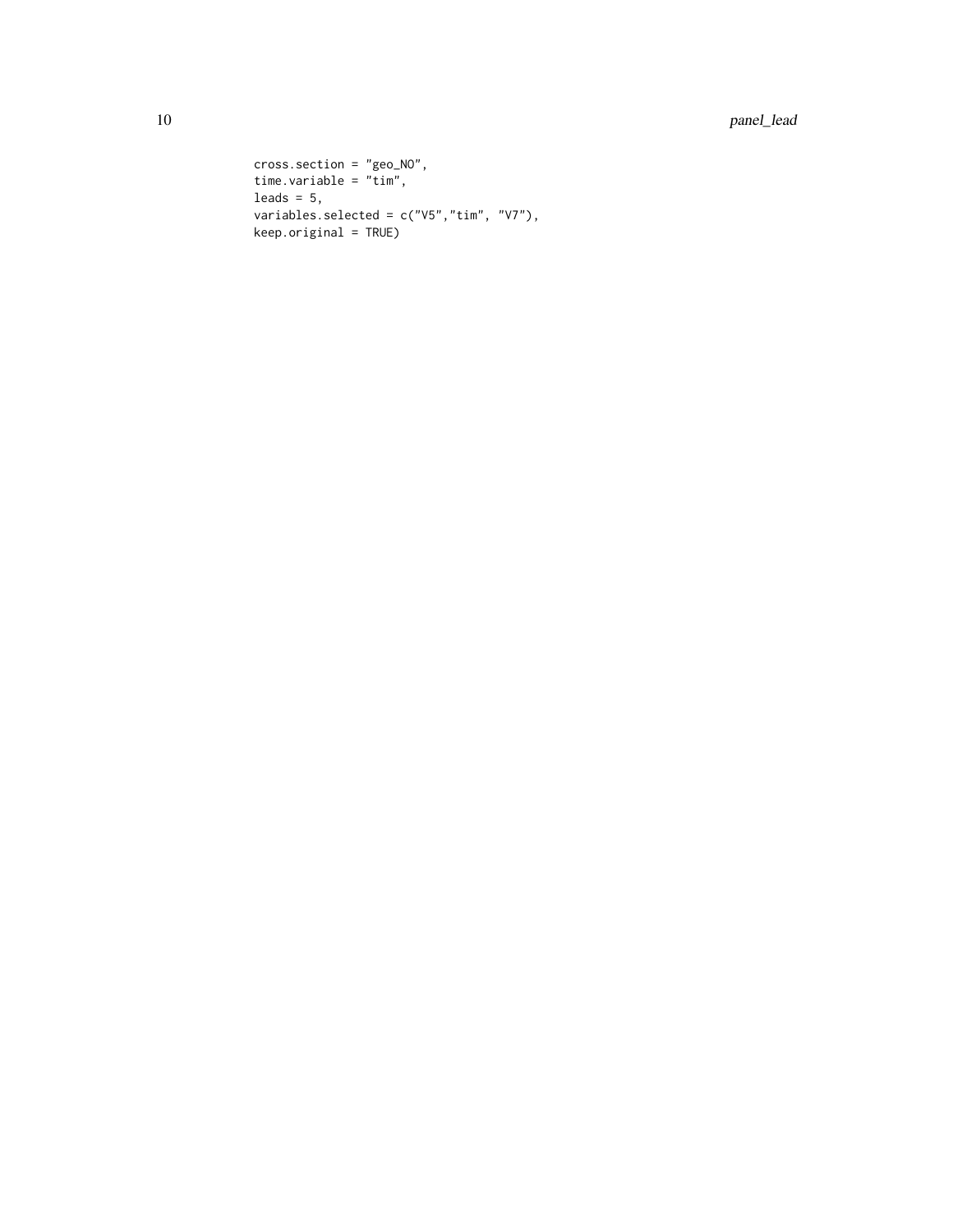```
cross.section = "geo_NO",
time.variable = "tim",
leads = 5,variables.selected = c("V5","tim", "V7"),
keep.original = TRUE)
```